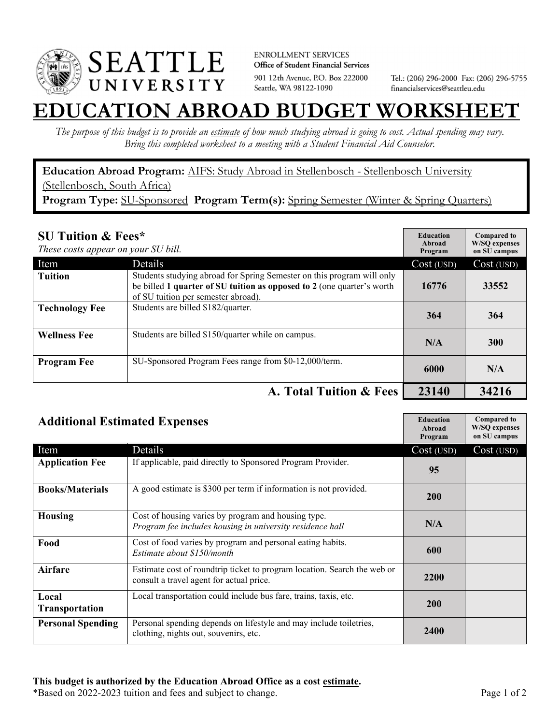

**ENROLLMENT SERVICES** Office of Student Financial Services 901 12th Avenue, P.O. Box 222000 Seattle, WA 98122-1090

Tel.: (206) 296-2000 Fax: (206) 296-5755 financialservices@seattleu.edu

## **EATION ABROAD BUDGET WORKSHEE**

*The purpose of this budget is to provide an estimate of how much studying abroad is going to cost. Actual spending may vary. Bring this completed worksheet to a meeting with a Student Financial Aid Counselor.* 

**Education Abroad Program:** AIFS: Study Abroad in Stellenbosch - Stellenbosch University (Stellenbosch, South Africa) Program Type: SU-Sponsored Program Term(s): Spring Semester (Winter & Spring Quarters)

| <b>SU Tuition &amp; Fees*</b><br>These costs appear on your SU bill. |                                                                                                                                                                                         | <b>Education</b><br>Abroad<br>Program | <b>Compared to</b><br><b>W/SO</b> expenses<br>on SU campus |
|----------------------------------------------------------------------|-----------------------------------------------------------------------------------------------------------------------------------------------------------------------------------------|---------------------------------------|------------------------------------------------------------|
| Item                                                                 | Details                                                                                                                                                                                 | Cost (USD)                            | Cost (USD)                                                 |
| <b>Tuition</b>                                                       | Students studying abroad for Spring Semester on this program will only<br>be billed 1 quarter of SU tuition as opposed to 2 (one quarter's worth<br>of SU tuition per semester abroad). | 16776                                 | 33552                                                      |
| <b>Technology Fee</b>                                                | Students are billed \$182/quarter.                                                                                                                                                      | 364                                   | 364                                                        |
| <b>Wellness Fee</b>                                                  | Students are billed \$150/quarter while on campus.                                                                                                                                      | N/A                                   | 300                                                        |
| <b>Program Fee</b>                                                   | SU-Sponsored Program Fees range from \$0-12,000/term.                                                                                                                                   | 6000                                  | N/A                                                        |
|                                                                      | A. Total Tuition & Fees                                                                                                                                                                 | 23140                                 | 34216                                                      |

| <b>Additional Estimated Expenses</b> |                                                                                                                      | <b>Education</b><br>Abroad<br>Program | <b>Compared to</b><br><b>W/SQ</b> expenses<br>on SU campus |
|--------------------------------------|----------------------------------------------------------------------------------------------------------------------|---------------------------------------|------------------------------------------------------------|
| Item                                 | Details                                                                                                              | Cost (USD)                            | Cost (USD)                                                 |
| <b>Application Fee</b>               | If applicable, paid directly to Sponsored Program Provider.                                                          | 95                                    |                                                            |
| <b>Books/Materials</b>               | A good estimate is \$300 per term if information is not provided.                                                    | <b>200</b>                            |                                                            |
| <b>Housing</b>                       | Cost of housing varies by program and housing type.<br>Program fee includes housing in university residence hall     | N/A                                   |                                                            |
| Food                                 | Cost of food varies by program and personal eating habits.<br>Estimate about \$150/month                             | 600                                   |                                                            |
| <b>Airfare</b>                       | Estimate cost of roundtrip ticket to program location. Search the web or<br>consult a travel agent for actual price. | <b>2200</b>                           |                                                            |
| Local<br>Transportation              | Local transportation could include bus fare, trains, taxis, etc.                                                     | <b>200</b>                            |                                                            |
| <b>Personal Spending</b>             | Personal spending depends on lifestyle and may include toiletries,<br>clothing, nights out, souvenirs, etc.          | 2400                                  |                                                            |